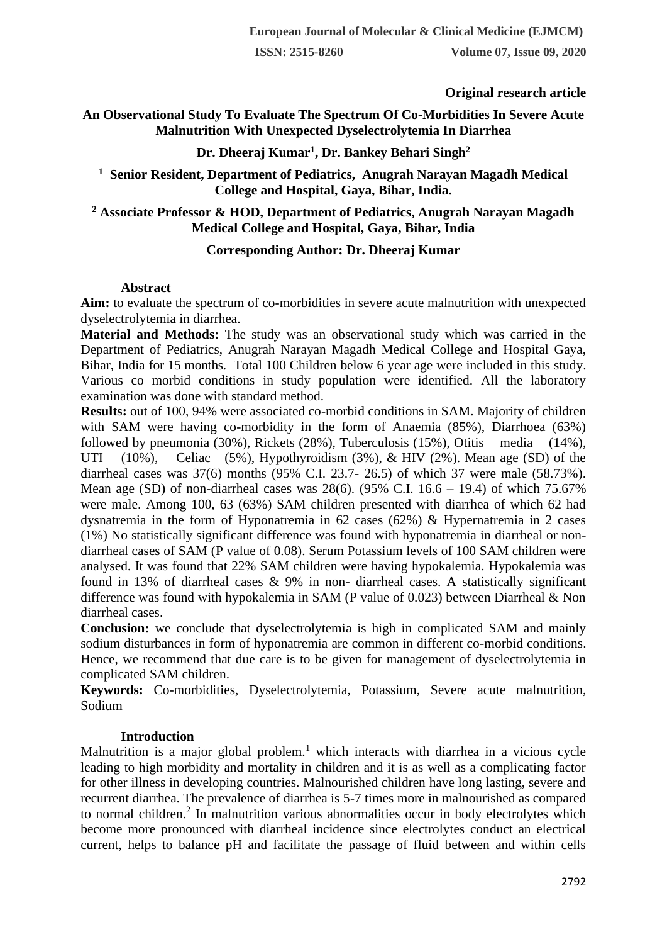# **Original research article**

# **An Observational Study To Evaluate The Spectrum Of Co-Morbidities In Severe Acute Malnutrition With Unexpected Dyselectrolytemia In Diarrhea**

# **Dr. Dheeraj Kumar<sup>1</sup> , Dr. Bankey Behari Singh<sup>2</sup>**

## **<sup>1</sup> Senior Resident, Department of Pediatrics, Anugrah Narayan Magadh Medical College and Hospital, Gaya, Bihar, India.**

# **<sup>2</sup> Associate Professor & HOD, Department of Pediatrics, Anugrah Narayan Magadh Medical College and Hospital, Gaya, Bihar, India**

## **Corresponding Author: Dr. Dheeraj Kumar**

## **Abstract**

**Aim:** to evaluate the spectrum of co-morbidities in severe acute malnutrition with unexpected dyselectrolytemia in diarrhea.

**Material and Methods:** The study was an observational study which was carried in the Department of Pediatrics, Anugrah Narayan Magadh Medical College and Hospital Gaya, Bihar, India for 15 months. Total 100 Children below 6 year age were included in this study. Various co morbid conditions in study population were identified. All the laboratory examination was done with standard method.

**Results:** out of 100, 94% were associated co-morbid conditions in SAM. Majority of children with SAM were having co-morbidity in the form of Anaemia (85%), Diarrhoea (63%) followed by pneumonia (30%), Rickets (28%), Tuberculosis (15%), Otitis media (14%), UTI (10%), Celiac (5%), Hypothyroidism (3%), & HIV (2%). Mean age (SD) of the diarrheal cases was 37(6) months (95% C.I. 23.7- 26.5) of which 37 were male (58.73%). Mean age (SD) of non-diarrheal cases was  $28(6)$ . (95% C.I.  $16.6 - 19.4$ ) of which 75.67% were male. Among 100, 63 (63%) SAM children presented with diarrhea of which 62 had dysnatremia in the form of Hyponatremia in 62 cases (62%) & Hypernatremia in 2 cases (1%) No statistically significant difference was found with hyponatremia in diarrheal or nondiarrheal cases of SAM (P value of 0.08). Serum Potassium levels of 100 SAM children were analysed. It was found that 22% SAM children were having hypokalemia. Hypokalemia was found in 13% of diarrheal cases & 9% in non- diarrheal cases. A statistically significant difference was found with hypokalemia in SAM (P value of 0.023) between Diarrheal & Non diarrheal cases.

**Conclusion:** we conclude that dyselectrolytemia is high in complicated SAM and mainly sodium disturbances in form of hyponatremia are common in different co-morbid conditions. Hence, we recommend that due care is to be given for management of dyselectrolytemia in complicated SAM children.

**Keywords:** Co-morbidities, Dyselectrolytemia, Potassium, Severe acute malnutrition, Sodium

## **Introduction**

Malnutrition is a major global problem.<sup>1</sup> which interacts with diarrhea in a vicious cycle leading to high morbidity and mortality in children and it is as well as a complicating factor for other illness in developing countries. Malnourished children have long lasting, severe and recurrent diarrhea. The prevalence of diarrhea is 5-7 times more in malnourished as compared to normal children.<sup>2</sup> In malnutrition various abnormalities occur in body electrolytes which become more pronounced with diarrheal incidence since electrolytes conduct an electrical current, helps to balance pH and facilitate the passage of fluid between and within cells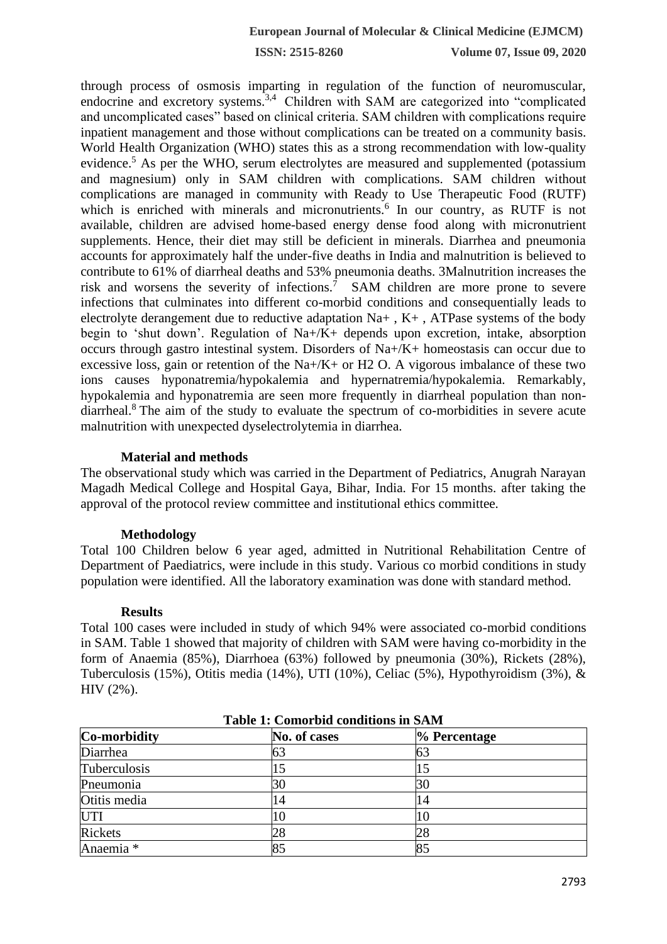**ISSN: 2515-8260 Volume 07, Issue 09, 2020**

through process of osmosis imparting in regulation of the function of neuromuscular, endocrine and excretory systems.<sup>3,4</sup> Children with SAM are categorized into "complicated and uncomplicated cases" based on clinical criteria. SAM children with complications require inpatient management and those without complications can be treated on a community basis. World Health Organization (WHO) states this as a strong recommendation with low-quality evidence.<sup>5</sup> As per the WHO, serum electrolytes are measured and supplemented (potassium and magnesium) only in SAM children with complications. SAM children without complications are managed in community with Ready to Use Therapeutic Food (RUTF) which is enriched with minerals and micronutrients.<sup>6</sup> In our country, as RUTF is not available, children are advised home-based energy dense food along with micronutrient supplements. Hence, their diet may still be deficient in minerals. Diarrhea and pneumonia accounts for approximately half the under-five deaths in India and malnutrition is believed to contribute to 61% of diarrheal deaths and 53% pneumonia deaths. 3Malnutrition increases the risk and worsens the severity of infections.<sup>7</sup> SAM children are more prone to severe infections that culminates into different co-morbid conditions and consequentially leads to electrolyte derangement due to reductive adaptation  $Na+$ ,  $K+$ , ATPase systems of the body begin to 'shut down'. Regulation of Na+/K+ depends upon excretion, intake, absorption occurs through gastro intestinal system. Disorders of Na+/K+ homeostasis can occur due to excessive loss, gain or retention of the Na+/K+ or H2 O. A vigorous imbalance of these two ions causes hyponatremia/hypokalemia and hypernatremia/hypokalemia. Remarkably, hypokalemia and hyponatremia are seen more frequently in diarrheal population than nondiarrheal.<sup>8</sup> The aim of the study to evaluate the spectrum of co-morbidities in severe acute malnutrition with unexpected dyselectrolytemia in diarrhea.

### **Material and methods**

The observational study which was carried in the Department of Pediatrics, Anugrah Narayan Magadh Medical College and Hospital Gaya, Bihar, India. For 15 months. after taking the approval of the protocol review committee and institutional ethics committee.

### **Methodology**

Total 100 Children below 6 year aged, admitted in Nutritional Rehabilitation Centre of Department of Paediatrics, were include in this study. Various co morbid conditions in study population were identified. All the laboratory examination was done with standard method.

### **Results**

Total 100 cases were included in study of which 94% were associated co-morbid conditions in SAM. Table 1 showed that majority of children with SAM were having co-morbidity in the form of Anaemia (85%), Diarrhoea (63%) followed by pneumonia (30%), Rickets (28%), Tuberculosis (15%), Otitis media (14%), UTI (10%), Celiac (5%), Hypothyroidism (3%), & HIV (2%).

| Table 1: Comorbid conditions in SAM |              |                 |  |  |  |
|-------------------------------------|--------------|-----------------|--|--|--|
| Co-morbidity                        | No. of cases | $\%$ Percentage |  |  |  |
| Diarrhea                            |              | 63              |  |  |  |
| Tuberculosis                        |              |                 |  |  |  |
| Pneumonia                           |              | 30              |  |  |  |
| Otitis media                        |              | 14              |  |  |  |
| <b>UTI</b>                          |              | 10              |  |  |  |
| <b>Rickets</b>                      |              | 28              |  |  |  |
| Anaemia <sup>*</sup>                |              | 85              |  |  |  |

**Table 1: Comorbid conditions in SAM**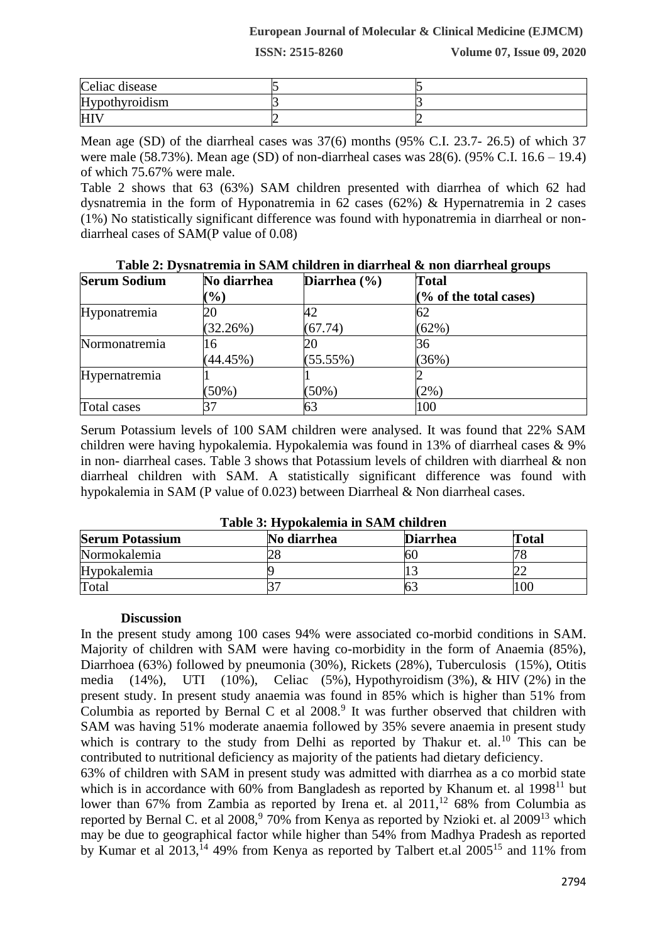## **European Journal of Molecular & Clinical Medicine (EJMCM)**

**ISSN: 2515-8260 Volume 07, Issue 09, 2020**

| Celiac disease        |  |
|-----------------------|--|
| <b>Hypothyroidism</b> |  |
| HI                    |  |

Mean age (SD) of the diarrheal cases was 37(6) months (95% C.I. 23.7- 26.5) of which 37 were male (58.73%). Mean age (SD) of non-diarrheal cases was 28(6). (95% C.I. 16.6 – 19.4) of which 75.67% were male.

Table 2 shows that 63 (63%) SAM children presented with diarrhea of which 62 had dysnatremia in the form of Hyponatremia in 62 cases (62%) & Hypernatremia in 2 cases (1%) No statistically significant difference was found with hyponatremia in diarrheal or nondiarrheal cases of SAM(P value of 0.08)

| <b>Serum Sodium</b> | No diarrhea | Diarrhea $(\% )$ | <b>Total</b>           |
|---------------------|-------------|------------------|------------------------|
|                     | $(\%)$      |                  | (% of the total cases) |
| Hyponatremia        |             | 42               | 62                     |
|                     | (32.26%)    | (67.74)          | (62%)                  |
| Normonatremia       | 16          | 20               | 36                     |
|                     | (44.45%)    | (55.55%)         | (36%)                  |
| Hypernatremia       |             |                  |                        |
|                     | (50%)       | $(50\%)$         | (2%)                   |
| Total cases         |             | 63               | 100                    |

**Table 2: Dysnatremia in SAM children in diarrheal & non diarrheal groups**

Serum Potassium levels of 100 SAM children were analysed. It was found that 22% SAM children were having hypokalemia. Hypokalemia was found in 13% of diarrheal cases & 9% in non- diarrheal cases. Table 3 shows that Potassium levels of children with diarrheal & non diarrheal children with SAM. A statistically significant difference was found with hypokalemia in SAM (P value of 0.023) between Diarrheal & Non diarrheal cases.

| <b>Serum Potassium</b> | No diarrhea | <b>Diarrhea</b> | Fotal |
|------------------------|-------------|-----------------|-------|
| Normokalemia           |             | ы               |       |
| Hypokalemia            |             |                 |       |
| Total                  |             |                 |       |

## **Table 3: Hypokalemia in SAM children**

### **Discussion**

In the present study among 100 cases 94% were associated co-morbid conditions in SAM. Majority of children with SAM were having co-morbidity in the form of Anaemia (85%), Diarrhoea (63%) followed by pneumonia (30%), Rickets (28%), Tuberculosis (15%), Otitis media  $(14\%)$ , UTI  $(10\%)$ , Celiac  $(5\%)$ , Hypothyroidism  $(3\%)$ , & HIV  $(2\%)$  in the present study. In present study anaemia was found in 85% which is higher than 51% from Columbia as reported by Bernal C et al  $2008<sup>9</sup>$  It was further observed that children with SAM was having 51% moderate anaemia followed by 35% severe anaemia in present study which is contrary to the study from Delhi as reported by Thakur et. al.<sup>10</sup> This can be contributed to nutritional deficiency as majority of the patients had dietary deficiency.

63% of children with SAM in present study was admitted with diarrhea as a co morbid state which is in accordance with  $60\%$  from Bangladesh as reported by Khanum et. al  $1998<sup>11</sup>$  but lower than 67% from Zambia as reported by Irena et. al  $2011$ ,<sup>12</sup> 68% from Columbia as reported by Bernal C. et al 2008,<sup>9</sup> 70% from Kenya as reported by Nzioki et. al 2009<sup>13</sup> which may be due to geographical factor while higher than 54% from Madhya Pradesh as reported by Kumar et al  $2013$ ,  $^{14}$  49% from Kenya as reported by Talbert et al  $2005^{15}$  and 11% from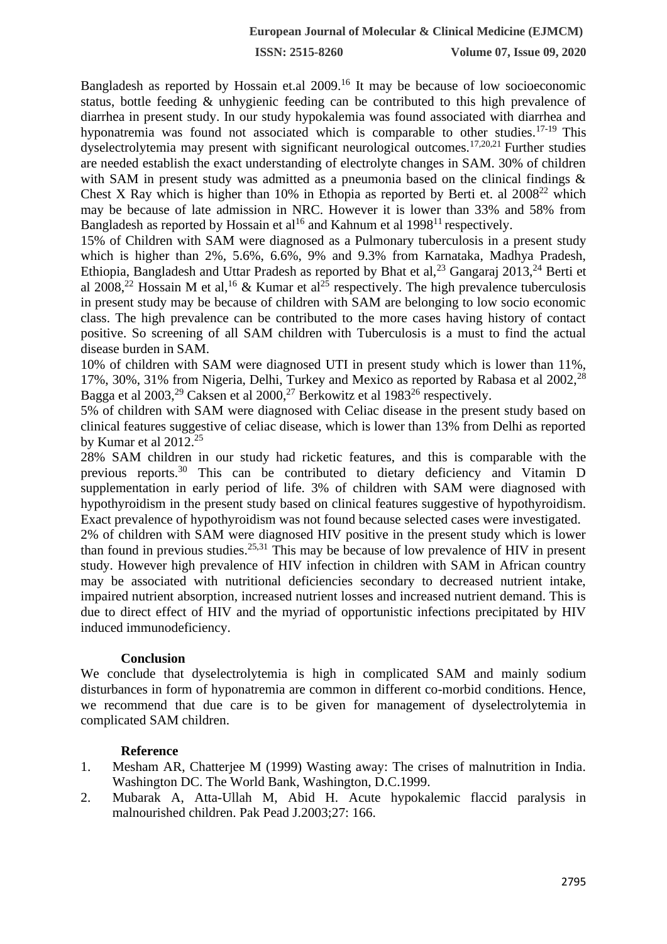**ISSN: 2515-8260 Volume 07, Issue 09, 2020**

Bangladesh as reported by Hossain et.al 2009.<sup>16</sup> It may be because of low socioeconomic status, bottle feeding & unhygienic feeding can be contributed to this high prevalence of diarrhea in present study. In our study hypokalemia was found associated with diarrhea and hyponatremia was found not associated which is comparable to other studies.<sup>17-19</sup> This dyselectrolytemia may present with significant neurological outcomes.17,20,21 Further studies are needed establish the exact understanding of electrolyte changes in SAM. 30% of children with SAM in present study was admitted as a pneumonia based on the clinical findings & Chest X Ray which is higher than 10% in Ethopia as reported by Berti et. al  $2008^{22}$  which may be because of late admission in NRC. However it is lower than 33% and 58% from Bangladesh as reported by Hossain et al<sup>16</sup> and Kahnum et al  $1998<sup>11</sup>$  respectively.

15% of Children with SAM were diagnosed as a Pulmonary tuberculosis in a present study which is higher than 2%, 5.6%, 6.6%, 9% and 9.3% from Karnataka, Madhya Pradesh, Ethiopia, Bangladesh and Uttar Pradesh as reported by Bhat et al,  $^{23}$  Gangaraj 2013,  $^{24}$  Berti et al 2008,<sup>22</sup> Hossain M et al,<sup>16</sup> & Kumar et al<sup>25</sup> respectively. The high prevalence tuberculosis in present study may be because of children with SAM are belonging to low socio economic class. The high prevalence can be contributed to the more cases having history of contact positive. So screening of all SAM children with Tuberculosis is a must to find the actual disease burden in SAM.

10% of children with SAM were diagnosed UTI in present study which is lower than 11%, 17%, 30%, 31% from Nigeria, Delhi, Turkey and Mexico as reported by Rabasa et al 2002,<sup>28</sup> Bagga et al  $2003$ <sup>29</sup> Caksen et al  $2000$ <sup>27</sup> Berkowitz et al  $1983^{26}$  respectively.

5% of children with SAM were diagnosed with Celiac disease in the present study based on clinical features suggestive of celiac disease, which is lower than 13% from Delhi as reported by Kumar et al  $2012.^{25}$ 

28% SAM children in our study had ricketic features, and this is comparable with the previous reports.<sup>30</sup> This can be contributed to dietary deficiency and Vitamin D supplementation in early period of life. 3% of children with SAM were diagnosed with hypothyroidism in the present study based on clinical features suggestive of hypothyroidism. Exact prevalence of hypothyroidism was not found because selected cases were investigated.

2% of children with SAM were diagnosed HIV positive in the present study which is lower than found in previous studies.<sup>25,31</sup> This may be because of low prevalence of HIV in present study. However high prevalence of HIV infection in children with SAM in African country may be associated with nutritional deficiencies secondary to decreased nutrient intake, impaired nutrient absorption, increased nutrient losses and increased nutrient demand. This is due to direct effect of HIV and the myriad of opportunistic infections precipitated by HIV induced immunodeficiency.

## **Conclusion**

We conclude that dyselectrolytemia is high in complicated SAM and mainly sodium disturbances in form of hyponatremia are common in different co-morbid conditions. Hence, we recommend that due care is to be given for management of dyselectrolytemia in complicated SAM children.

# **Reference**

- 1. Mesham AR, Chatterjee M (1999) Wasting away: The crises of malnutrition in India. Washington DC. The World Bank, Washington, D.C.1999.
- 2. Mubarak A, Atta-Ullah M, Abid H. Acute hypokalemic flaccid paralysis in malnourished children. Pak Pead J.2003;27: 166.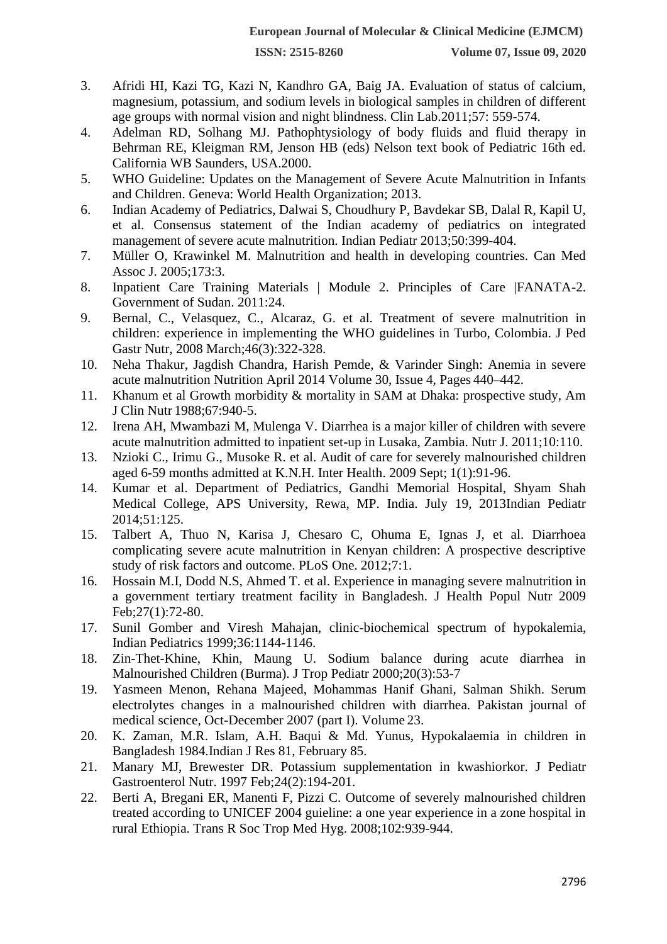- 3. Afridi HI, Kazi TG, Kazi N, Kandhro GA, Baig JA. Evaluation of status of calcium, magnesium, potassium, and sodium levels in biological samples in children of different age groups with normal vision and night blindness. Clin Lab.2011;57: 559-574.
- 4. Adelman RD, Solhang MJ. Pathophtysiology of body fluids and fluid therapy in Behrman RE, Kleigman RM, Jenson HB (eds) Nelson text book of Pediatric 16th ed. California WB Saunders, USA.2000.
- 5. WHO Guideline: Updates on the Management of Severe Acute Malnutrition in Infants and Children. Geneva: World Health Organization; 2013.
- 6. Indian Academy of Pediatrics, Dalwai S, Choudhury P, Bavdekar SB, Dalal R, Kapil U, et al. Consensus statement of the Indian academy of pediatrics on integrated management of severe acute malnutrition. Indian Pediatr 2013;50:399-404.
- 7. Müller O, Krawinkel M. Malnutrition and health in developing countries. Can Med Assoc J. 2005;173:3.
- 8. Inpatient Care Training Materials | Module 2. Principles of Care |FANATA-2. Government of Sudan. 2011:24.
- 9. Bernal, C., Velasquez, C., Alcaraz, G. et al. Treatment of severe malnutrition in children: experience in implementing the WHO guidelines in Turbo, Colombia. J Ped Gastr Nutr, 2008 March;46(3):322-328.
- 10. Neha Thakur, Jagdish Chandra, Harish Pemde, & Varinder Singh: Anemia in severe acute malnutrition Nutrition April 2014 [Volume 30, Issue 4, P](http://www.nutritionjrnl.com/issue/S0899-9007(13)X0013-9)ages 440–442.
- 11. Khanum et al Growth morbidity & mortality in SAM at Dhaka: prospective study, Am J Clin Nutr 1988;67:940-5.
- 12. Irena AH, Mwambazi M, Mulenga V. Diarrhea is a major killer of children with severe acute malnutrition admitted to inpatient set-up in Lusaka, Zambia. Nutr J. 2011;10:110.
- 13. Nzioki C., Irimu G., Musoke R. et al. Audit of care for severely malnourished children aged 6-59 months admitted at K.N.H. Inter Health. 2009 Sept; 1(1):91-96.
- 14. Kumar et al. Department of Pediatrics, Gandhi Memorial Hospital, Shyam Shah Medical College, APS University, Rewa, MP. India. July 19, 2013Indian Pediatr 2014;51:125.
- 15. Talbert A, Thuo N, Karisa J, Chesaro C, Ohuma E, Ignas J, et al. Diarrhoea complicating severe acute malnutrition in Kenyan children: A prospective descriptive study of risk factors and outcome. PLoS One. 2012;7:1.
- 16. Hossain M.I, Dodd N.S, Ahmed T. et al. Experience in managing severe malnutrition in a government tertiary treatment facility in Bangladesh. J Health Popul Nutr 2009 Feb;27(1):72-80.
- 17. Sunil Gomber and Viresh Mahajan, clinic-biochemical spectrum of hypokalemia, Indian Pediatrics 1999;36:1144-1146.
- 18. Zin-Thet-Khine, Khin, Maung U. Sodium balance during acute diarrhea in Malnourished Children (Burma). J Trop Pediatr 2000;20(3):53-7
- 19. Yasmeen Menon, Rehana Majeed, Mohammas Hanif Ghani, Salman Shikh. Serum electrolytes changes in a malnourished children with diarrhea. Pakistan journal of medical science, Oct-December 2007 (part I). Volume 23.
- 20. K. Zaman, M.R. Islam, A.H. Baqui & Md. Yunus, Hypokalaemia in children in Bangladesh 1984.Indian J Res 81, February 85.
- 21. Manary MJ, Brewester DR. Potassium supplementation in kwashiorkor. J Pediatr Gastroenterol Nutr. 1997 Feb;24(2):194-201.
- 22. Berti A, Bregani ER, Manenti F, Pizzi C. Outcome of severely malnourished children treated according to UNICEF 2004 guieline: a one year experience in a zone hospital in rural Ethiopia. Trans R Soc Trop Med Hyg. 2008;102:939-944.